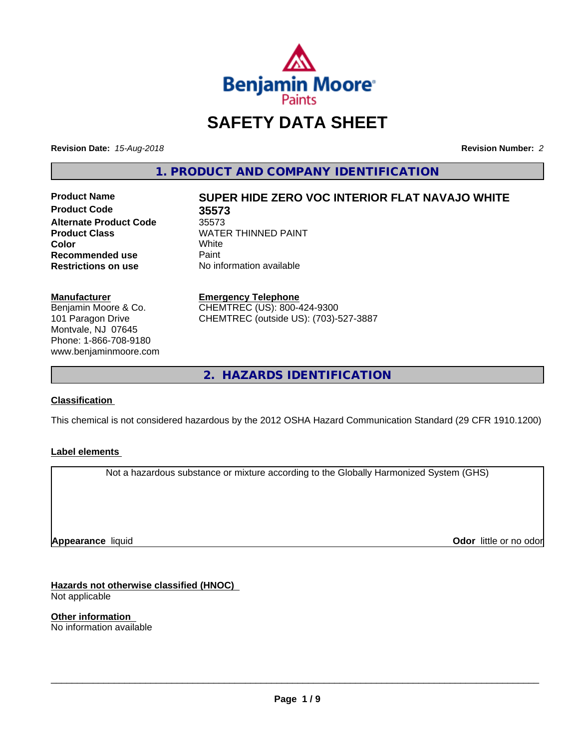

# **SAFETY DATA SHEET**

**Revision Date:** *15-Aug-2018* **Revision Number:** *2*

**1. PRODUCT AND COMPANY IDENTIFICATION**

**Product Code 35573 Alternate Product Code** 35573<br>**Product Class** WATE **Recommended use** Paint<br> **Restrictions on use** No inf

# **Product Name SUPER HIDE ZERO VOC INTERIOR FLAT NAVAJO WHITE**

**WATER THINNED PAINT**<br>White **Color** White White **No information available** 

**Manufacturer** Benjamin Moore & Co.

101 Paragon Drive Montvale, NJ 07645 Phone: 1-866-708-9180 www.benjaminmoore.com

#### **Emergency Telephone**

CHEMTREC (US): 800-424-9300 CHEMTREC (outside US): (703)-527-3887

**2. HAZARDS IDENTIFICATION**

#### **Classification**

This chemical is not considered hazardous by the 2012 OSHA Hazard Communication Standard (29 CFR 1910.1200)

#### **Label elements**

Not a hazardous substance or mixture according to the Globally Harmonized System (GHS)

**Appearance** liquid

**Odor** little or no odor

**Hazards not otherwise classified (HNOC)** Not applicable

**Other information** No information available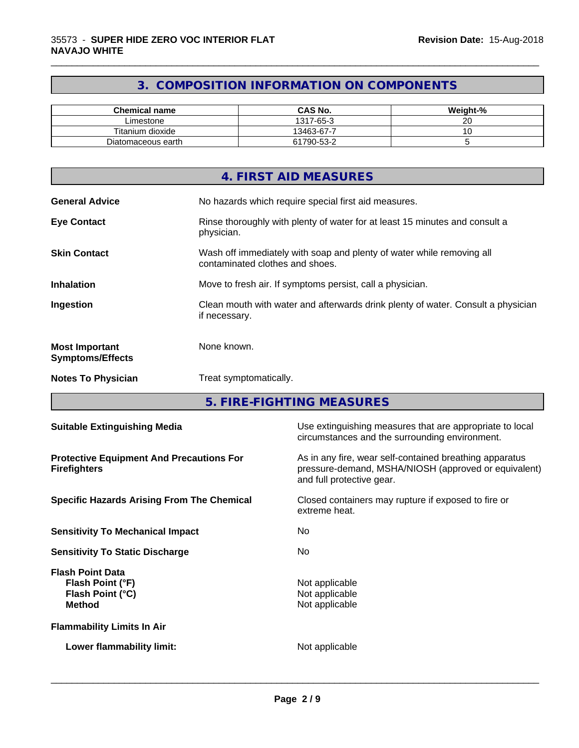# **3. COMPOSITION INFORMATION ON COMPONENTS**

\_\_\_\_\_\_\_\_\_\_\_\_\_\_\_\_\_\_\_\_\_\_\_\_\_\_\_\_\_\_\_\_\_\_\_\_\_\_\_\_\_\_\_\_\_\_\_\_\_\_\_\_\_\_\_\_\_\_\_\_\_\_\_\_\_\_\_\_\_\_\_\_\_\_\_\_\_\_\_\_\_\_\_\_\_\_\_\_\_\_\_\_\_

| <b>Chemical name</b> | <b>CAS No.</b> | Weight-% |
|----------------------|----------------|----------|
| Limestone            | 1317-65-3      | ~~<br>20 |
| Titanium dioxide     | 13463-67-7     | ~        |
| Diatomaceous earth   | 61790-53-2     |          |

|                                                  | 4. FIRST AID MEASURES                                                                                    |
|--------------------------------------------------|----------------------------------------------------------------------------------------------------------|
| <b>General Advice</b>                            | No hazards which require special first aid measures.                                                     |
| <b>Eye Contact</b>                               | Rinse thoroughly with plenty of water for at least 15 minutes and consult a<br>physician.                |
| <b>Skin Contact</b>                              | Wash off immediately with soap and plenty of water while removing all<br>contaminated clothes and shoes. |
| <b>Inhalation</b>                                | Move to fresh air. If symptoms persist, call a physician.                                                |
| Ingestion                                        | Clean mouth with water and afterwards drink plenty of water. Consult a physician<br>if necessary.        |
| <b>Most Important</b><br><b>Symptoms/Effects</b> | None known.                                                                                              |
| <b>Notes To Physician</b>                        | Treat symptomatically.                                                                                   |

**5. FIRE-FIGHTING MEASURES**

| <b>Suitable Extinguishing Media</b>                                              | Use extinguishing measures that are appropriate to local<br>circumstances and the surrounding environment.                                   |
|----------------------------------------------------------------------------------|----------------------------------------------------------------------------------------------------------------------------------------------|
| <b>Protective Equipment And Precautions For</b><br><b>Firefighters</b>           | As in any fire, wear self-contained breathing apparatus<br>pressure-demand, MSHA/NIOSH (approved or equivalent)<br>and full protective gear. |
| <b>Specific Hazards Arising From The Chemical</b>                                | Closed containers may rupture if exposed to fire or<br>extreme heat.                                                                         |
| <b>Sensitivity To Mechanical Impact</b>                                          | No.                                                                                                                                          |
| <b>Sensitivity To Static Discharge</b>                                           | No.                                                                                                                                          |
| <b>Flash Point Data</b><br>Flash Point (°F)<br>Flash Point (°C)<br><b>Method</b> | Not applicable<br>Not applicable<br>Not applicable                                                                                           |
| <b>Flammability Limits In Air</b>                                                |                                                                                                                                              |
| Lower flammability limit:                                                        | Not applicable                                                                                                                               |
|                                                                                  |                                                                                                                                              |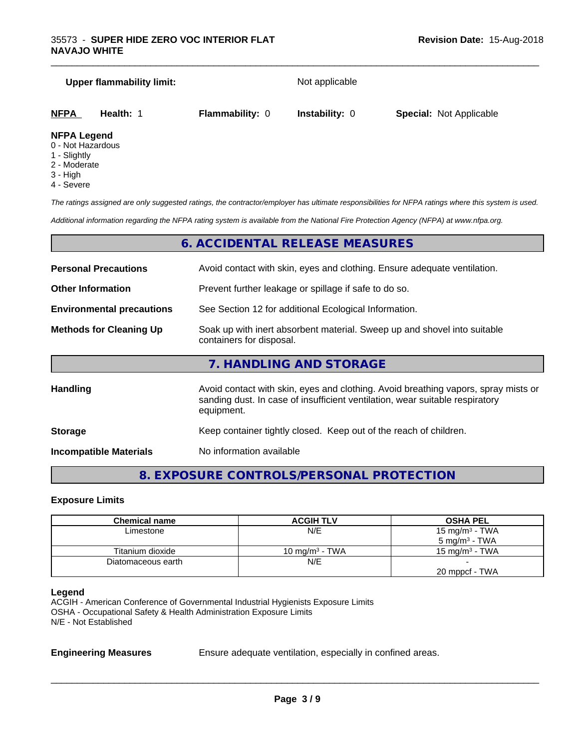#### **Upper flammability limit:** Not applicable

\_\_\_\_\_\_\_\_\_\_\_\_\_\_\_\_\_\_\_\_\_\_\_\_\_\_\_\_\_\_\_\_\_\_\_\_\_\_\_\_\_\_\_\_\_\_\_\_\_\_\_\_\_\_\_\_\_\_\_\_\_\_\_\_\_\_\_\_\_\_\_\_\_\_\_\_\_\_\_\_\_\_\_\_\_\_\_\_\_\_\_\_\_

| <u>NFPA</u>    | Health: | <b>Flammability: 0</b> | <b>Instability: 0</b> | <b>Special: Not Applicable</b> |  |
|----------------|---------|------------------------|-----------------------|--------------------------------|--|
| $\blacksquare$ |         |                        |                       |                                |  |

#### **NFPA Legend**

- 0 Not Hazardous
- 1 Slightly
- 2 Moderate
- 3 High
- 4 Severe

*The ratings assigned are only suggested ratings, the contractor/employer has ultimate responsibilities for NFPA ratings where this system is used.*

*Additional information regarding the NFPA rating system is available from the National Fire Protection Agency (NFPA) at www.nfpa.org.*

#### **6. ACCIDENTAL RELEASE MEASURES**

| <b>Personal Precautions</b>                                                                                                            | Avoid contact with skin, eyes and clothing. Ensure adequate ventilation.                                                                                                         |  |  |
|----------------------------------------------------------------------------------------------------------------------------------------|----------------------------------------------------------------------------------------------------------------------------------------------------------------------------------|--|--|
| <b>Other Information</b>                                                                                                               | Prevent further leakage or spillage if safe to do so.                                                                                                                            |  |  |
| <b>Environmental precautions</b>                                                                                                       | See Section 12 for additional Ecological Information.                                                                                                                            |  |  |
| Soak up with inert absorbent material. Sweep up and shovel into suitable<br><b>Methods for Cleaning Up</b><br>containers for disposal. |                                                                                                                                                                                  |  |  |
|                                                                                                                                        | 7. HANDLING AND STORAGE                                                                                                                                                          |  |  |
| <b>Handling</b>                                                                                                                        | Avoid contact with skin, eyes and clothing. Avoid breathing vapors, spray mists or<br>sanding dust. In case of insufficient ventilation, wear suitable respiratory<br>equipment. |  |  |
| <b>Storage</b>                                                                                                                         | Keep container tightly closed. Keep out of the reach of children.                                                                                                                |  |  |

**Incompatible Materials** No information available

# **8. EXPOSURE CONTROLS/PERSONAL PROTECTION**

#### **Exposure Limits**

| Chemical name      | <b>ACGIH TLV</b>  | <b>OSHA PEL</b>          |
|--------------------|-------------------|--------------------------|
| Limestone          | N/E               | 15 mg/m $3$ - TWA        |
|                    |                   | $5 \text{ mg/m}^3$ - TWA |
| Titanium dioxide   | 10 mg/m $3$ - TWA | 15 mg/m $3$ - TWA        |
| Diatomaceous earth | N/E               |                          |
|                    |                   | 20 mppcf - TWA           |

#### **Legend**

ACGIH - American Conference of Governmental Industrial Hygienists Exposure Limits OSHA - Occupational Safety & Health Administration Exposure Limits N/E - Not Established

**Engineering Measures** Ensure adequate ventilation, especially in confined areas.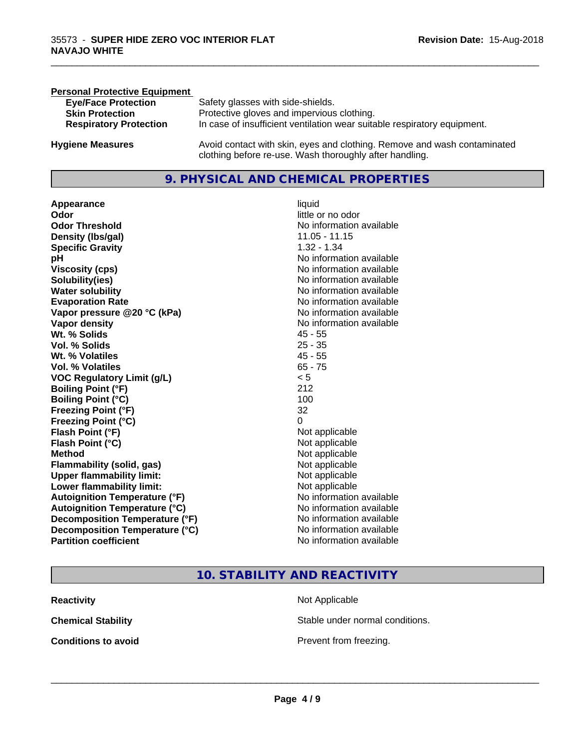| <b>Personal Protective Equipment</b> |                                                                                                                                     |
|--------------------------------------|-------------------------------------------------------------------------------------------------------------------------------------|
| <b>Eye/Face Protection</b>           | Safety glasses with side-shields.                                                                                                   |
| <b>Skin Protection</b>               | Protective gloves and impervious clothing.                                                                                          |
| <b>Respiratory Protection</b>        | In case of insufficient ventilation wear suitable respiratory equipment.                                                            |
| <b>Hygiene Measures</b>              | Avoid contact with skin, eyes and clothing. Remove and wash contaminated<br>clothing before re-use. Wash thoroughly after handling. |

#### **9. PHYSICAL AND CHEMICAL PROPERTIES**

**Appearance** liquid **Odor** little or no odor **Odor Threshold** No information available **Density (lbs/gal)** 11.05 - 11.15 **Specific Gravity** 1.32 - 1.34 **pH pH**  $\blacksquare$ **Viscosity (cps)** No information available<br> **Solubility(ies)** No information available<br>
No information available **Solubility(ies)**<br> **No** information available<br> **Water solubility**<br> **Water solubility Evaporation Rate No information available No information available Vapor pressure @20 °C (kPa)** No information available **Vapor density**<br> **Vapor density**<br> **With % Solids**<br>
With % Solids
2018 Wt. % Solids **Vol. % Solids** 25 - 35 **Wt. % Volatiles** 45 - 55 **Vol. % Volatiles** 65 - 75<br> **VOC Regulatory Limit (g/L)** 65 - 75 **VOC** Regulatory Limit (g/L) **Boiling Point (°F)** 212 **Boiling Point**  $(^{\circ}C)$  100 **Freezing Point (°F)** 32 **Freezing Point (°C)** 0 **Flash Point (°F)**<br> **Flash Point (°C)**<br> **Flash Point (°C)**<br> **C Flash Point (°C) Method** Not applicable not applicable not applicable not applicable not applicable not applicable not applicable not applicable not applicable not applicable not applicable not applicable not applicable not applicable not **Flammability (solid, gas)**<br> **Upper flammability limit:**<br>
Upper flammability limit:<br>  $\begin{array}{ccc}\n\bullet & \bullet & \bullet \\
\bullet & \bullet & \bullet\n\end{array}$ **Upper flammability limit: Lower flammability limit:** Not applicable **Autoignition Temperature (°F)** No information available **Autoignition Temperature (°C)** No information available **Decomposition Temperature (°F)** No information available **Decomposition Temperature (°C)**<br> **Partition coefficient**<br> **Partition coefficient**<br> **No** information available

**No information available No information available** 

\_\_\_\_\_\_\_\_\_\_\_\_\_\_\_\_\_\_\_\_\_\_\_\_\_\_\_\_\_\_\_\_\_\_\_\_\_\_\_\_\_\_\_\_\_\_\_\_\_\_\_\_\_\_\_\_\_\_\_\_\_\_\_\_\_\_\_\_\_\_\_\_\_\_\_\_\_\_\_\_\_\_\_\_\_\_\_\_\_\_\_\_\_

#### **10. STABILITY AND REACTIVITY**

| Reactivity          |  |  |
|---------------------|--|--|
| Chemical Stability  |  |  |
| Conditions to avoid |  |  |

**Not Applicable** Stable under normal conditions.

**Prevent from freezing.**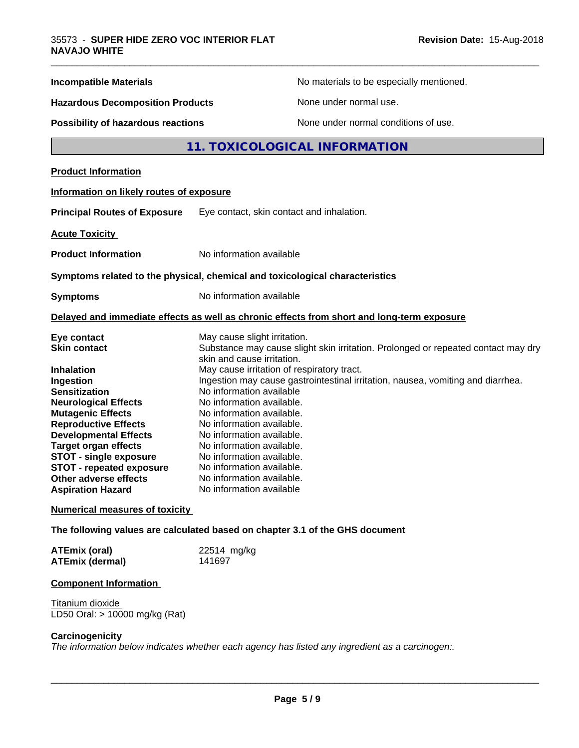| <b>Incompatible Materials</b><br>No materials to be especially mentioned.<br><b>Hazardous Decomposition Products</b><br>None under normal use.<br><b>Possibility of hazardous reactions</b><br>None under normal conditions of use.<br>11. TOXICOLOGICAL INFORMATION<br><b>Product Information</b><br>Information on likely routes of exposure<br><b>Principal Routes of Exposure</b><br>Eye contact, skin contact and inhalation.<br><b>Acute Toxicity</b><br>No information available<br><b>Product Information</b><br>Symptoms related to the physical, chemical and toxicological characteristics<br>No information available<br><b>Symptoms</b><br>Delayed and immediate effects as well as chronic effects from short and long-term exposure<br>May cause slight irritation.<br>Eye contact<br><b>Skin contact</b><br>skin and cause irritation.<br>May cause irritation of respiratory tract.<br><b>Inhalation</b><br>Ingestion may cause gastrointestinal irritation, nausea, vomiting and diarrhea.<br>Ingestion<br>No information available<br><b>Sensitization</b><br>No information available.<br><b>Neurological Effects</b><br><b>Mutagenic Effects</b><br>No information available.<br>No information available.<br><b>Reproductive Effects</b><br><b>Developmental Effects</b><br>No information available.<br><b>Target organ effects</b><br>No information available.<br><b>STOT - single exposure</b><br>No information available.<br>No information available.<br><b>STOT - repeated exposure</b><br><b>Other adverse effects</b><br>No information available.<br>No information available<br><b>Aspiration Hazard</b><br><b>Numerical measures of toxicity</b><br>The following values are calculated based on chapter 3.1 of the GHS document<br>22514 mg/kg<br><b>ATEmix (oral)</b><br><b>ATEmix (dermal)</b><br>141697 |                                                                                   |  |  |
|------------------------------------------------------------------------------------------------------------------------------------------------------------------------------------------------------------------------------------------------------------------------------------------------------------------------------------------------------------------------------------------------------------------------------------------------------------------------------------------------------------------------------------------------------------------------------------------------------------------------------------------------------------------------------------------------------------------------------------------------------------------------------------------------------------------------------------------------------------------------------------------------------------------------------------------------------------------------------------------------------------------------------------------------------------------------------------------------------------------------------------------------------------------------------------------------------------------------------------------------------------------------------------------------------------------------------------------------------------------------------------------------------------------------------------------------------------------------------------------------------------------------------------------------------------------------------------------------------------------------------------------------------------------------------------------------------------------------------------------------------------------------------------------------------------------------------------------------|-----------------------------------------------------------------------------------|--|--|
|                                                                                                                                                                                                                                                                                                                                                                                                                                                                                                                                                                                                                                                                                                                                                                                                                                                                                                                                                                                                                                                                                                                                                                                                                                                                                                                                                                                                                                                                                                                                                                                                                                                                                                                                                                                                                                                |                                                                                   |  |  |
|                                                                                                                                                                                                                                                                                                                                                                                                                                                                                                                                                                                                                                                                                                                                                                                                                                                                                                                                                                                                                                                                                                                                                                                                                                                                                                                                                                                                                                                                                                                                                                                                                                                                                                                                                                                                                                                |                                                                                   |  |  |
|                                                                                                                                                                                                                                                                                                                                                                                                                                                                                                                                                                                                                                                                                                                                                                                                                                                                                                                                                                                                                                                                                                                                                                                                                                                                                                                                                                                                                                                                                                                                                                                                                                                                                                                                                                                                                                                |                                                                                   |  |  |
|                                                                                                                                                                                                                                                                                                                                                                                                                                                                                                                                                                                                                                                                                                                                                                                                                                                                                                                                                                                                                                                                                                                                                                                                                                                                                                                                                                                                                                                                                                                                                                                                                                                                                                                                                                                                                                                |                                                                                   |  |  |
|                                                                                                                                                                                                                                                                                                                                                                                                                                                                                                                                                                                                                                                                                                                                                                                                                                                                                                                                                                                                                                                                                                                                                                                                                                                                                                                                                                                                                                                                                                                                                                                                                                                                                                                                                                                                                                                |                                                                                   |  |  |
|                                                                                                                                                                                                                                                                                                                                                                                                                                                                                                                                                                                                                                                                                                                                                                                                                                                                                                                                                                                                                                                                                                                                                                                                                                                                                                                                                                                                                                                                                                                                                                                                                                                                                                                                                                                                                                                |                                                                                   |  |  |
|                                                                                                                                                                                                                                                                                                                                                                                                                                                                                                                                                                                                                                                                                                                                                                                                                                                                                                                                                                                                                                                                                                                                                                                                                                                                                                                                                                                                                                                                                                                                                                                                                                                                                                                                                                                                                                                |                                                                                   |  |  |
|                                                                                                                                                                                                                                                                                                                                                                                                                                                                                                                                                                                                                                                                                                                                                                                                                                                                                                                                                                                                                                                                                                                                                                                                                                                                                                                                                                                                                                                                                                                                                                                                                                                                                                                                                                                                                                                |                                                                                   |  |  |
|                                                                                                                                                                                                                                                                                                                                                                                                                                                                                                                                                                                                                                                                                                                                                                                                                                                                                                                                                                                                                                                                                                                                                                                                                                                                                                                                                                                                                                                                                                                                                                                                                                                                                                                                                                                                                                                |                                                                                   |  |  |
|                                                                                                                                                                                                                                                                                                                                                                                                                                                                                                                                                                                                                                                                                                                                                                                                                                                                                                                                                                                                                                                                                                                                                                                                                                                                                                                                                                                                                                                                                                                                                                                                                                                                                                                                                                                                                                                |                                                                                   |  |  |
|                                                                                                                                                                                                                                                                                                                                                                                                                                                                                                                                                                                                                                                                                                                                                                                                                                                                                                                                                                                                                                                                                                                                                                                                                                                                                                                                                                                                                                                                                                                                                                                                                                                                                                                                                                                                                                                |                                                                                   |  |  |
|                                                                                                                                                                                                                                                                                                                                                                                                                                                                                                                                                                                                                                                                                                                                                                                                                                                                                                                                                                                                                                                                                                                                                                                                                                                                                                                                                                                                                                                                                                                                                                                                                                                                                                                                                                                                                                                |                                                                                   |  |  |
|                                                                                                                                                                                                                                                                                                                                                                                                                                                                                                                                                                                                                                                                                                                                                                                                                                                                                                                                                                                                                                                                                                                                                                                                                                                                                                                                                                                                                                                                                                                                                                                                                                                                                                                                                                                                                                                | Substance may cause slight skin irritation. Prolonged or repeated contact may dry |  |  |
|                                                                                                                                                                                                                                                                                                                                                                                                                                                                                                                                                                                                                                                                                                                                                                                                                                                                                                                                                                                                                                                                                                                                                                                                                                                                                                                                                                                                                                                                                                                                                                                                                                                                                                                                                                                                                                                |                                                                                   |  |  |
|                                                                                                                                                                                                                                                                                                                                                                                                                                                                                                                                                                                                                                                                                                                                                                                                                                                                                                                                                                                                                                                                                                                                                                                                                                                                                                                                                                                                                                                                                                                                                                                                                                                                                                                                                                                                                                                |                                                                                   |  |  |
|                                                                                                                                                                                                                                                                                                                                                                                                                                                                                                                                                                                                                                                                                                                                                                                                                                                                                                                                                                                                                                                                                                                                                                                                                                                                                                                                                                                                                                                                                                                                                                                                                                                                                                                                                                                                                                                |                                                                                   |  |  |

# **Component Information**

**Titanium dioxide** LD50 Oral: > 10000 mg/kg (Rat)

#### **Carcinogenicity**

*The information below indicateswhether each agency has listed any ingredient as a carcinogen:.*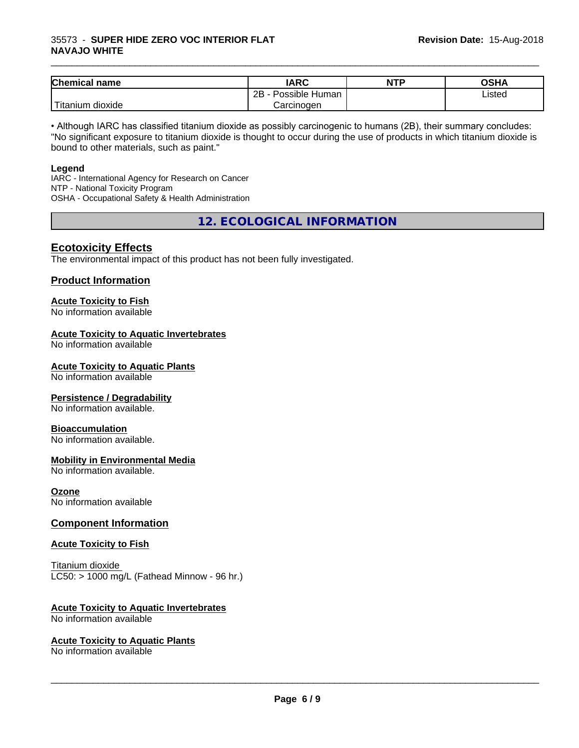#### 35573 - **SUPER HIDE ZERO VOC INTERIOR FLAT NAVAJO WHITE**

| <b>Chemical</b><br>name  | <b>IARC</b>                 | <b>NTP</b> | OSHA   |
|--------------------------|-----------------------------|------------|--------|
|                          | . .<br>2B<br>Possible Human |            | Listed |
| $-1$<br>⊺itanium dioxide | Carcinogen                  |            |        |

\_\_\_\_\_\_\_\_\_\_\_\_\_\_\_\_\_\_\_\_\_\_\_\_\_\_\_\_\_\_\_\_\_\_\_\_\_\_\_\_\_\_\_\_\_\_\_\_\_\_\_\_\_\_\_\_\_\_\_\_\_\_\_\_\_\_\_\_\_\_\_\_\_\_\_\_\_\_\_\_\_\_\_\_\_\_\_\_\_\_\_\_\_

• Although IARC has classified titanium dioxide as possibly carcinogenic to humans (2B), their summary concludes: "No significant exposure to titanium dioxide is thought to occur during the use of products in which titanium dioxide is bound to other materials, such as paint."

#### **Legend**

IARC - International Agency for Research on Cancer NTP - National Toxicity Program OSHA - Occupational Safety & Health Administration

**12. ECOLOGICAL INFORMATION**

#### **Ecotoxicity Effects**

The environmental impact of this product has not been fully investigated.

#### **Product Information**

# **Acute Toxicity to Fish**

No information available

#### **Acute Toxicity to Aquatic Invertebrates**

No information available

#### **Acute Toxicity to Aquatic Plants**

No information available

#### **Persistence / Degradability**

No information available.

#### **Bioaccumulation**

No information available.

#### **Mobility in Environmental Media**

No information available.

#### **Ozone**

No information available

#### **Component Information**

#### **Acute Toxicity to Fish**

Titanium dioxide  $LC50:$  > 1000 mg/L (Fathead Minnow - 96 hr.)

#### **Acute Toxicity to Aquatic Invertebrates**

No information available

#### **Acute Toxicity to Aquatic Plants**

No information available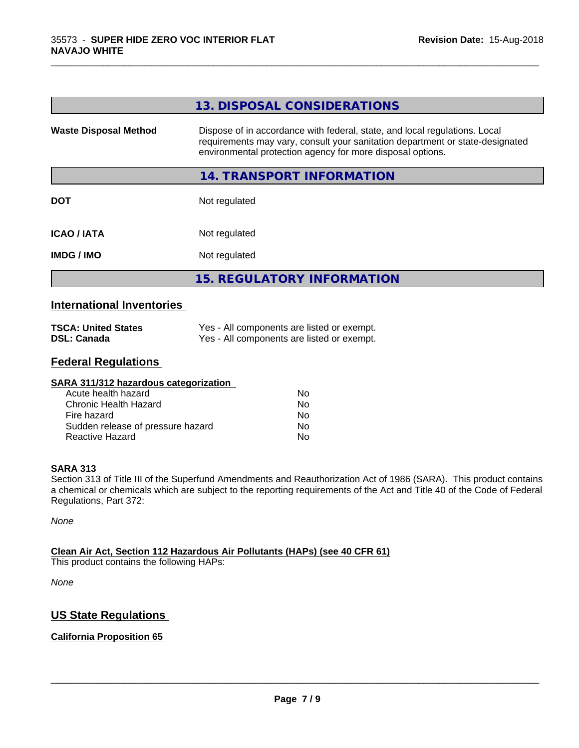|                              | 13. DISPOSAL CONSIDERATIONS                                                                                                                                                                                               |
|------------------------------|---------------------------------------------------------------------------------------------------------------------------------------------------------------------------------------------------------------------------|
| <b>Waste Disposal Method</b> | Dispose of in accordance with federal, state, and local regulations. Local<br>requirements may vary, consult your sanitation department or state-designated<br>environmental protection agency for more disposal options. |
|                              | 14. TRANSPORT INFORMATION                                                                                                                                                                                                 |
| <b>DOT</b>                   | Not regulated                                                                                                                                                                                                             |
| <b>ICAO/IATA</b>             | Not regulated                                                                                                                                                                                                             |
| <b>IMDG/IMO</b>              | Not regulated                                                                                                                                                                                                             |
|                              | <b>15. REGULATORY INFORMATION</b>                                                                                                                                                                                         |

\_\_\_\_\_\_\_\_\_\_\_\_\_\_\_\_\_\_\_\_\_\_\_\_\_\_\_\_\_\_\_\_\_\_\_\_\_\_\_\_\_\_\_\_\_\_\_\_\_\_\_\_\_\_\_\_\_\_\_\_\_\_\_\_\_\_\_\_\_\_\_\_\_\_\_\_\_\_\_\_\_\_\_\_\_\_\_\_\_\_\_\_\_

#### **International Inventories**

| <b>TSCA: United States</b> | Yes - All components are listed or exempt. |
|----------------------------|--------------------------------------------|
| <b>DSL: Canada</b>         | Yes - All components are listed or exempt. |

# **Federal Regulations**

| SARA 311/312 hazardous categorization |    |  |
|---------------------------------------|----|--|
| Acute health hazard                   | Nο |  |
| Chronic Health Hazard                 | No |  |
| Fire hazard                           | No |  |
| Sudden release of pressure hazard     | No |  |
| Reactive Hazard                       | No |  |

#### **SARA 313**

Section 313 of Title III of the Superfund Amendments and Reauthorization Act of 1986 (SARA). This product contains a chemical or chemicals which are subject to the reporting requirements of the Act and Title 40 of the Code of Federal Regulations, Part 372:

*None*

#### **Clean Air Act,Section 112 Hazardous Air Pollutants (HAPs) (see 40 CFR 61)**

This product contains the following HAPs:

*None*

# **US State Regulations**

#### **California Proposition 65**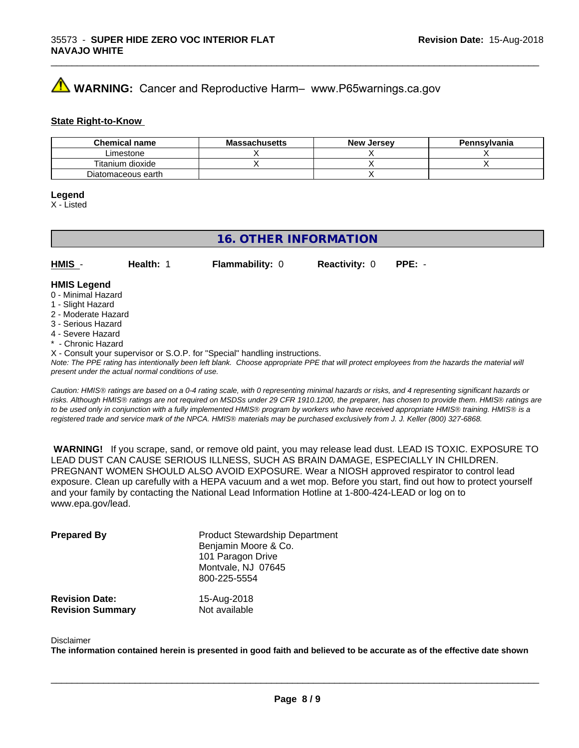# **WARNING:** Cancer and Reproductive Harm– www.P65warnings.ca.gov

#### **State Right-to-Know**

| <b>Chemical name</b> | <b>Massachusetts</b> | <b>New Jersey</b> | Pennsylvania |
|----------------------|----------------------|-------------------|--------------|
| Limestone            |                      |                   |              |
| Titanium dioxide     |                      |                   |              |
| Diatomaceous earth   |                      |                   |              |

#### **Legend**

X - Listed

#### **16. OTHER INFORMATION**

**HMIS** - **Health:** 1 **Flammability:** 0 **Reactivity:** 0 **PPE:** -

#### **HMIS Legend**

- 0 Minimal Hazard
- 1 Slight Hazard
- 2 Moderate Hazard
- 3 Serious Hazard
- 4 Severe Hazard
- **Chronic Hazard**
- X Consult your supervisor or S.O.P. for "Special" handling instructions.

*Note: The PPE rating has intentionally been left blank. Choose appropriate PPE that will protect employees from the hazards the material will present under the actual normal conditions of use.*

*Caution: HMISÒ ratings are based on a 0-4 rating scale, with 0 representing minimal hazards or risks, and 4 representing significant hazards or risks. Although HMISÒ ratings are not required on MSDSs under 29 CFR 1910.1200, the preparer, has chosen to provide them. HMISÒ ratings are to be used only in conjunction with a fully implemented HMISÒ program by workers who have received appropriate HMISÒ training. HMISÒ is a registered trade and service mark of the NPCA. HMISÒ materials may be purchased exclusively from J. J. Keller (800) 327-6868.*

 **WARNING!** If you scrape, sand, or remove old paint, you may release lead dust. LEAD IS TOXIC. EXPOSURE TO LEAD DUST CAN CAUSE SERIOUS ILLNESS, SUCH AS BRAIN DAMAGE, ESPECIALLY IN CHILDREN. PREGNANT WOMEN SHOULD ALSO AVOID EXPOSURE.Wear a NIOSH approved respirator to control lead exposure. Clean up carefully with a HEPA vacuum and a wet mop. Before you start, find out how to protect yourself and your family by contacting the National Lead Information Hotline at 1-800-424-LEAD or log on to www.epa.gov/lead.

| <b>Prepared By</b>      | <b>Product Stewardship Department</b><br>Benjamin Moore & Co.<br>101 Paragon Drive<br>Montvale, NJ 07645<br>800-225-5554 |
|-------------------------|--------------------------------------------------------------------------------------------------------------------------|
| <b>Revision Date:</b>   | 15-Aug-2018                                                                                                              |
| <b>Revision Summary</b> | Not available                                                                                                            |

#### Disclaimer

The information contained herein is presented in good faith and believed to be accurate as of the effective date shown